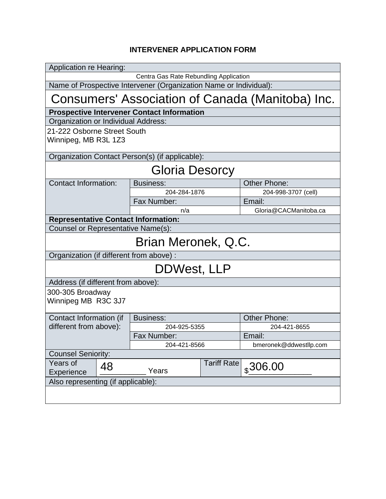## **INTERVENER APPLICATION FORM**

| <b>Application re Hearing:</b>                                    |    |                  |                    |                        |  |  |  |
|-------------------------------------------------------------------|----|------------------|--------------------|------------------------|--|--|--|
| Centra Gas Rate Rebundling Application                            |    |                  |                    |                        |  |  |  |
| Name of Prospective Intervener (Organization Name or Individual): |    |                  |                    |                        |  |  |  |
| Consumers' Association of Canada (Manitoba) Inc.                  |    |                  |                    |                        |  |  |  |
| <b>Prospective Intervener Contact Information</b>                 |    |                  |                    |                        |  |  |  |
| Organization or Individual Address:                               |    |                  |                    |                        |  |  |  |
| 21-222 Osborne Street South<br>Winnipeg, MB R3L 1Z3               |    |                  |                    |                        |  |  |  |
| Organization Contact Person(s) (if applicable):                   |    |                  |                    |                        |  |  |  |
| Gloria Desorcy                                                    |    |                  |                    |                        |  |  |  |
| <b>Contact Information:</b>                                       |    | <b>Business:</b> |                    | <b>Other Phone:</b>    |  |  |  |
|                                                                   |    | 204-284-1876     |                    | 204-998-3707 (cell)    |  |  |  |
|                                                                   |    | Fax Number:      |                    | Email:                 |  |  |  |
|                                                                   |    | n/a              |                    | Gloria@CACManitoba.ca  |  |  |  |
| <b>Representative Contact Information:</b>                        |    |                  |                    |                        |  |  |  |
| Counsel or Representative Name(s):                                |    |                  |                    |                        |  |  |  |
| Brian Meronek, Q.C.                                               |    |                  |                    |                        |  |  |  |
| Organization (if different from above) :                          |    |                  |                    |                        |  |  |  |
| DDWest, LLP                                                       |    |                  |                    |                        |  |  |  |
| Address (if different from above):                                |    |                  |                    |                        |  |  |  |
| 300-305 Broadway<br>Winnipeg MB R3C 3J7                           |    |                  |                    |                        |  |  |  |
| Contact Information (if<br>different from above):                 |    | <b>Business:</b> |                    | <b>Other Phone:</b>    |  |  |  |
|                                                                   |    | 204-925-5355     |                    | 204-421-8655           |  |  |  |
|                                                                   |    | Fax Number:      |                    | Email:                 |  |  |  |
|                                                                   |    | 204-421-8566     |                    | bmeronek@ddwestllp.com |  |  |  |
| <b>Counsel Seniority:</b>                                         |    |                  |                    |                        |  |  |  |
| Years of<br>Experience                                            | 48 | Years            | <b>Tariff Rate</b> | $_{\rm s}$ 306.00      |  |  |  |
| Also representing (if applicable):                                |    |                  |                    |                        |  |  |  |
|                                                                   |    |                  |                    |                        |  |  |  |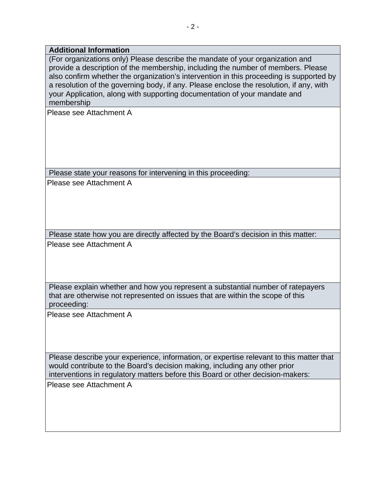## **Additional Information**

(For organizations only) Please describe the mandate of your organization and provide a description of the membership, including the number of members. Please also confirm whether the organization's intervention in this proceeding is supported by a resolution of the governing body, if any. Please enclose the resolution, if any, with your Application, along with supporting documentation of your mandate and membership

Please see Attachment A

Please state your reasons for intervening in this proceeding:

Please see Attachment A

Please state how you are directly affected by the Board's decision in this matter: Please see Attachment A

Please explain whether and how you represent a substantial number of ratepayers that are otherwise not represented on issues that are within the scope of this proceeding:

Please see Attachment A

Please describe your experience, information, or expertise relevant to this matter that would contribute to the Board's decision making, including any other prior interventions in regulatory matters before this Board or other decision-makers:

Please see Attachment A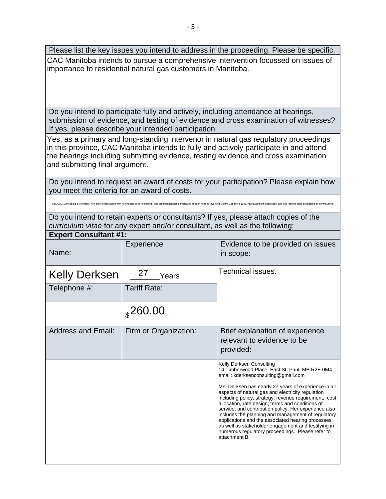Please list the key issues you intend to address in the proceeding. Please be specific. CAC Manitoba intends to pursue a comprehensive intervention focussed on issues of importance to residential natural gas customers in Manitoba.

Do you intend to participate fully and actively, including attendance at hearings, submission of evidence, and testing of evidence and cross examination of witnesses? If yes, please describe your intended participation.

Yes, as a primary and long-standing intervenor in natural gas regulatory proceedings in this province, CAC Manitoba intends to fully and actively participate in and attend the hearings including submitting evidence, testing evidence and cross examination and submitting final argument.

Do you intend to request an award of costs for your participation? Please explain how you meet the criteria for an award of costs.

Yes, CAC Manitoba is a volunteer, non-profit organization with no ongoing or core funding. The organization has participated at each hearing involving Centre Gas since 1988, has qualified in each case, and has receivd cost

Do you intend to retain experts or consultants? If yes, please attach copies of the *curriculum vitae* for any expert and/or consultant, as well as the following:

| <b>Expert Consultant #1:</b> |                       |                                                                                                                                                                                                                                                                                                                                                                                                                                                                                                                                                                                                                                             |  |  |  |
|------------------------------|-----------------------|---------------------------------------------------------------------------------------------------------------------------------------------------------------------------------------------------------------------------------------------------------------------------------------------------------------------------------------------------------------------------------------------------------------------------------------------------------------------------------------------------------------------------------------------------------------------------------------------------------------------------------------------|--|--|--|
| Name:                        | Experience            | Evidence to be provided on issues<br>in scope:                                                                                                                                                                                                                                                                                                                                                                                                                                                                                                                                                                                              |  |  |  |
| <b>Kelly Derksen</b>         | 27<br>Years           | Technical issues.                                                                                                                                                                                                                                                                                                                                                                                                                                                                                                                                                                                                                           |  |  |  |
| Telephone #:                 | <b>Tariff Rate:</b>   |                                                                                                                                                                                                                                                                                                                                                                                                                                                                                                                                                                                                                                             |  |  |  |
|                              | $_{\rm \ast}$ 260.00  |                                                                                                                                                                                                                                                                                                                                                                                                                                                                                                                                                                                                                                             |  |  |  |
| <b>Address and Email:</b>    | Firm or Organization: | Brief explanation of experience<br>relevant to evidence to be<br>provided:                                                                                                                                                                                                                                                                                                                                                                                                                                                                                                                                                                  |  |  |  |
|                              |                       | Kelly Derksen Consulting<br>14 Timberwood Place, East St. Paul, MB R2E 0M4<br>email: kderksenconsulting@gmail.com<br>Ms. Derksen has nearly 27 years of experience in all<br>aspects of natural gas and electricity regulation<br>including policy, strategy, revenue requirement, cost<br>allocation, rate design, terms and conditions of<br>service, and contribution policy. Her experience also<br>includes the planning and management of regulatory<br>applications and the associated hearing processes<br>as well as stakeholder engagement and testifying in<br>numerous regulatory proceedings. Please refer to<br>attachment B. |  |  |  |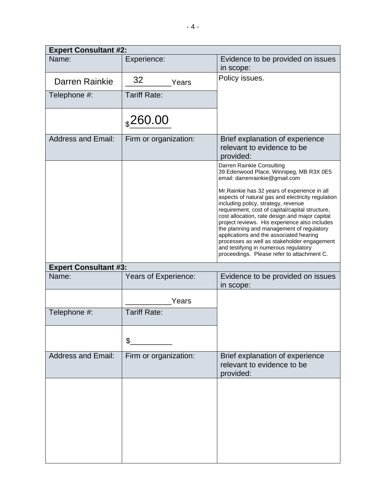| <b>Expert Consultant #2:</b> |                       |                                                                                                                                                                                                                                                                                                                                                                                                                                                                                                                               |  |  |  |  |
|------------------------------|-----------------------|-------------------------------------------------------------------------------------------------------------------------------------------------------------------------------------------------------------------------------------------------------------------------------------------------------------------------------------------------------------------------------------------------------------------------------------------------------------------------------------------------------------------------------|--|--|--|--|
| Name:                        | Experience:           | Evidence to be provided on issues<br>in scope:                                                                                                                                                                                                                                                                                                                                                                                                                                                                                |  |  |  |  |
| Darren Rainkie               | 32<br>Years           | Policy issues.                                                                                                                                                                                                                                                                                                                                                                                                                                                                                                                |  |  |  |  |
| Telephone #:                 | <b>Tariff Rate:</b>   |                                                                                                                                                                                                                                                                                                                                                                                                                                                                                                                               |  |  |  |  |
|                              | $_{s}$ 260.00         |                                                                                                                                                                                                                                                                                                                                                                                                                                                                                                                               |  |  |  |  |
| <b>Address and Email:</b>    | Firm or organization: | Brief explanation of experience<br>relevant to evidence to be<br>provided:                                                                                                                                                                                                                                                                                                                                                                                                                                                    |  |  |  |  |
|                              |                       | Darren Rainkie Consulting<br>39 Edenwood Place, Winnipeg, MB R3X 0E5<br>email: darrenrainkie@gmail.com                                                                                                                                                                                                                                                                                                                                                                                                                        |  |  |  |  |
|                              |                       | Mr. Rainkie has 32 years of experience in all<br>aspects of natural gas and electricity regulation<br>including policy, strategy, revenue<br>requirement, cost of capital/capital structure,<br>cost allocation, rate design and major capital<br>project reviews. His experience also includes<br>the planning and management of regulatory<br>applications and the associated hearing<br>processes as well as stakeholder engagement<br>and testifying in numerous regulatory<br>proceedings. Please refer to attachment C. |  |  |  |  |
| <b>Expert Consultant #3:</b> |                       |                                                                                                                                                                                                                                                                                                                                                                                                                                                                                                                               |  |  |  |  |
| Name:                        | Years of Experience:  | Evidence to be provided on issues<br>in scope:                                                                                                                                                                                                                                                                                                                                                                                                                                                                                |  |  |  |  |
|                              | Years                 |                                                                                                                                                                                                                                                                                                                                                                                                                                                                                                                               |  |  |  |  |
| Telephone #:                 | <b>Tariff Rate:</b>   |                                                                                                                                                                                                                                                                                                                                                                                                                                                                                                                               |  |  |  |  |
|                              | \$                    |                                                                                                                                                                                                                                                                                                                                                                                                                                                                                                                               |  |  |  |  |
| <b>Address and Email:</b>    | Firm or organization: | Brief explanation of experience<br>relevant to evidence to be<br>provided:                                                                                                                                                                                                                                                                                                                                                                                                                                                    |  |  |  |  |
|                              |                       |                                                                                                                                                                                                                                                                                                                                                                                                                                                                                                                               |  |  |  |  |